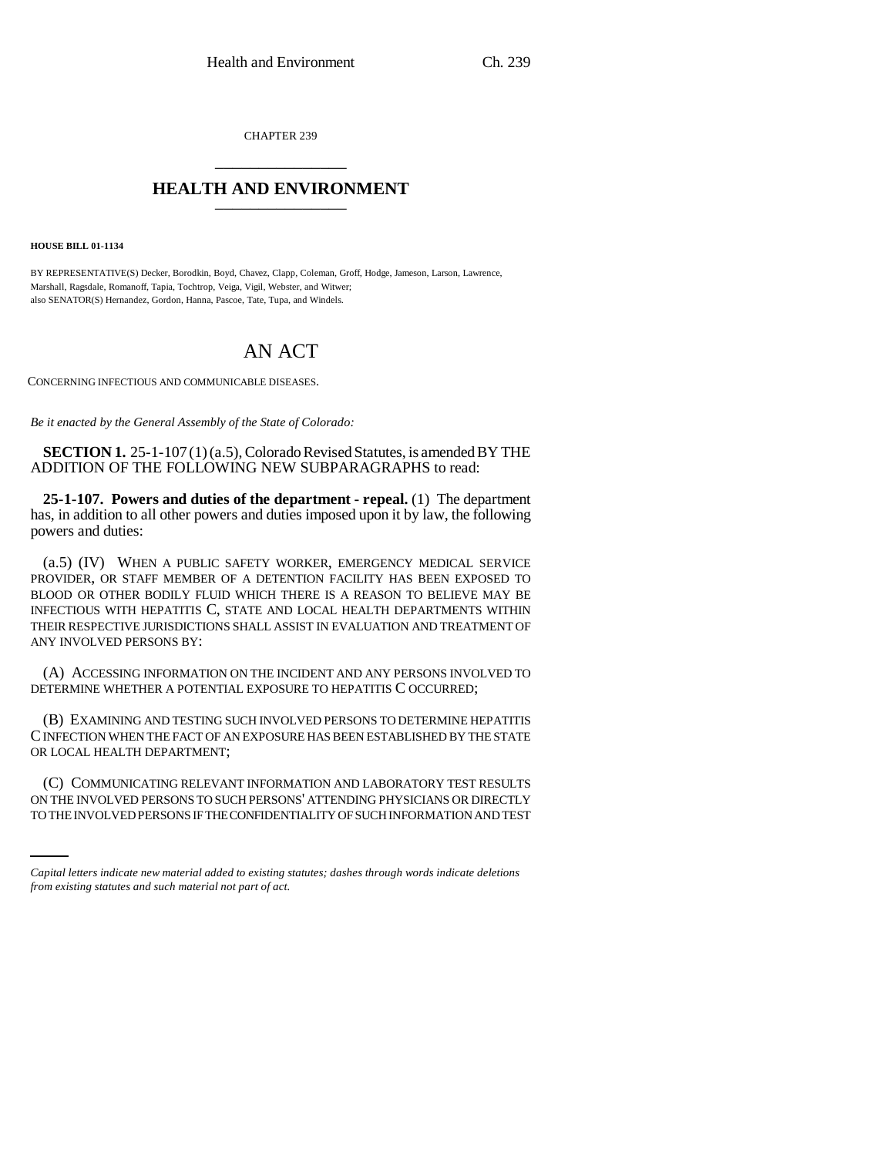CHAPTER 239 \_\_\_\_\_\_\_\_\_\_\_\_\_\_\_

# **HEALTH AND ENVIRONMENT** \_\_\_\_\_\_\_\_\_\_\_\_\_\_\_

**HOUSE BILL 01-1134**

BY REPRESENTATIVE(S) Decker, Borodkin, Boyd, Chavez, Clapp, Coleman, Groff, Hodge, Jameson, Larson, Lawrence, Marshall, Ragsdale, Romanoff, Tapia, Tochtrop, Veiga, Vigil, Webster, and Witwer; also SENATOR(S) Hernandez, Gordon, Hanna, Pascoe, Tate, Tupa, and Windels.

# AN ACT

CONCERNING INFECTIOUS AND COMMUNICABLE DISEASES.

*Be it enacted by the General Assembly of the State of Colorado:*

**SECTION 1.** 25-1-107 (1) (a.5), Colorado Revised Statutes, is amended BY THE ADDITION OF THE FOLLOWING NEW SUBPARAGRAPHS to read:

**25-1-107. Powers and duties of the department - repeal.** (1) The department has, in addition to all other powers and duties imposed upon it by law, the following powers and duties:

(a.5) (IV) WHEN A PUBLIC SAFETY WORKER, EMERGENCY MEDICAL SERVICE PROVIDER, OR STAFF MEMBER OF A DETENTION FACILITY HAS BEEN EXPOSED TO BLOOD OR OTHER BODILY FLUID WHICH THERE IS A REASON TO BELIEVE MAY BE INFECTIOUS WITH HEPATITIS C, STATE AND LOCAL HEALTH DEPARTMENTS WITHIN THEIR RESPECTIVE JURISDICTIONS SHALL ASSIST IN EVALUATION AND TREATMENT OF ANY INVOLVED PERSONS BY:

(A) ACCESSING INFORMATION ON THE INCIDENT AND ANY PERSONS INVOLVED TO DETERMINE WHETHER A POTENTIAL EXPOSURE TO HEPATITIS C OCCURRED;

(B) EXAMINING AND TESTING SUCH INVOLVED PERSONS TO DETERMINE HEPATITIS C INFECTION WHEN THE FACT OF AN EXPOSURE HAS BEEN ESTABLISHED BY THE STATE OR LOCAL HEALTH DEPARTMENT;

(C) COMMUNICATING RELEVANT INFORMATION AND LABORATORY TEST RESULTS ON THE INVOLVED PERSONS TO SUCH PERSONS' ATTENDING PHYSICIANS OR DIRECTLY TO THE INVOLVED PERSONS IF THE CONFIDENTIALITY OF SUCH INFORMATION AND TEST

*Capital letters indicate new material added to existing statutes; dashes through words indicate deletions from existing statutes and such material not part of act.*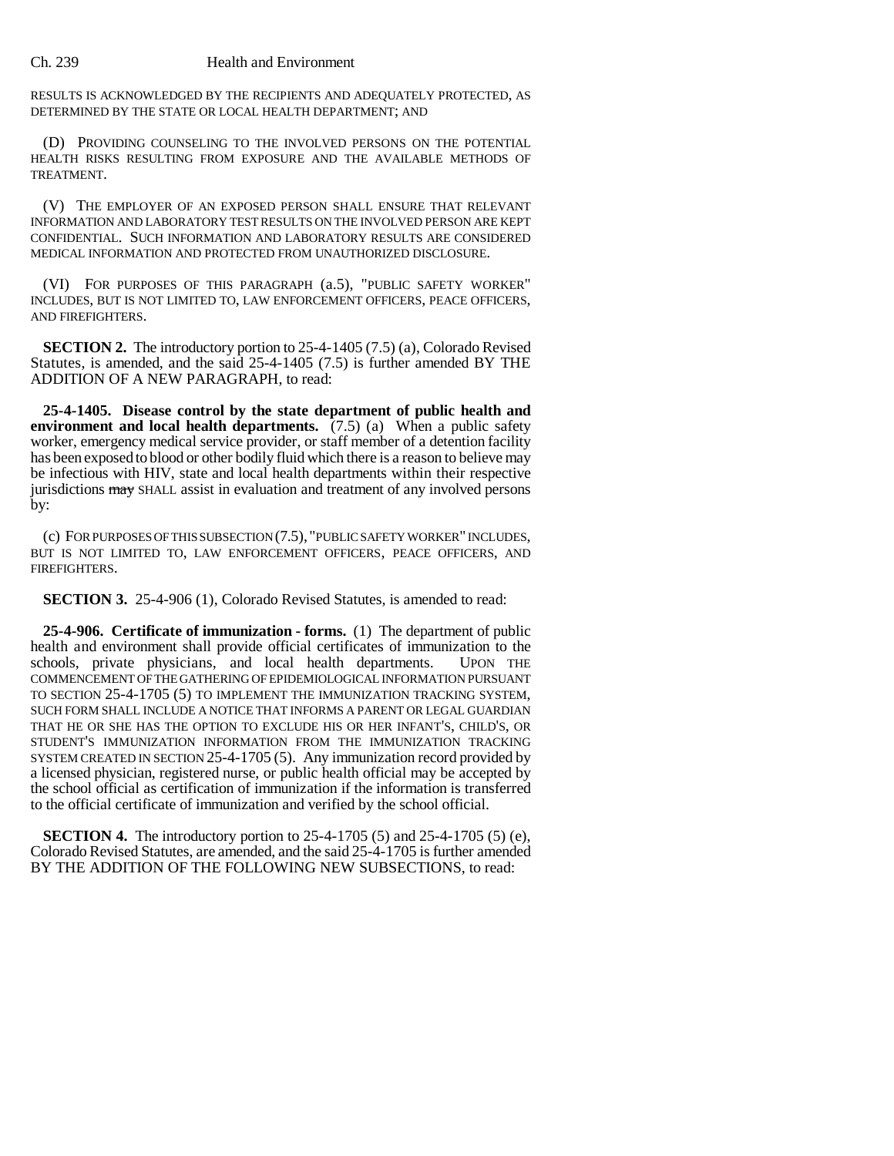## Ch. 239 Health and Environment

RESULTS IS ACKNOWLEDGED BY THE RECIPIENTS AND ADEQUATELY PROTECTED, AS DETERMINED BY THE STATE OR LOCAL HEALTH DEPARTMENT; AND

(D) PROVIDING COUNSELING TO THE INVOLVED PERSONS ON THE POTENTIAL HEALTH RISKS RESULTING FROM EXPOSURE AND THE AVAILABLE METHODS OF TREATMENT.

(V) THE EMPLOYER OF AN EXPOSED PERSON SHALL ENSURE THAT RELEVANT INFORMATION AND LABORATORY TEST RESULTS ON THE INVOLVED PERSON ARE KEPT CONFIDENTIAL. SUCH INFORMATION AND LABORATORY RESULTS ARE CONSIDERED MEDICAL INFORMATION AND PROTECTED FROM UNAUTHORIZED DISCLOSURE.

(VI) FOR PURPOSES OF THIS PARAGRAPH (a.5), "PUBLIC SAFETY WORKER" INCLUDES, BUT IS NOT LIMITED TO, LAW ENFORCEMENT OFFICERS, PEACE OFFICERS, AND FIREFIGHTERS.

**SECTION 2.** The introductory portion to 25-4-1405 (7.5) (a), Colorado Revised Statutes, is amended, and the said 25-4-1405 (7.5) is further amended BY THE ADDITION OF A NEW PARAGRAPH, to read:

**25-4-1405. Disease control by the state department of public health and environment and local health departments.** (7.5) (a) When a public safety worker, emergency medical service provider, or staff member of a detention facility has been exposed to blood or other bodily fluid which there is a reason to believe may be infectious with HIV, state and local health departments within their respective jurisdictions may SHALL assist in evaluation and treatment of any involved persons by:

(c) FOR PURPOSES OF THIS SUBSECTION (7.5), "PUBLIC SAFETY WORKER" INCLUDES, BUT IS NOT LIMITED TO, LAW ENFORCEMENT OFFICERS, PEACE OFFICERS, AND FIREFIGHTERS.

**SECTION 3.** 25-4-906 (1), Colorado Revised Statutes, is amended to read:

**25-4-906. Certificate of immunization - forms.** (1) The department of public health and environment shall provide official certificates of immunization to the schools, private physicians, and local health departments. UPON THE COMMENCEMENT OF THE GATHERING OF EPIDEMIOLOGICAL INFORMATION PURSUANT TO SECTION 25-4-1705 (5) TO IMPLEMENT THE IMMUNIZATION TRACKING SYSTEM, SUCH FORM SHALL INCLUDE A NOTICE THAT INFORMS A PARENT OR LEGAL GUARDIAN THAT HE OR SHE HAS THE OPTION TO EXCLUDE HIS OR HER INFANT'S, CHILD'S, OR STUDENT'S IMMUNIZATION INFORMATION FROM THE IMMUNIZATION TRACKING SYSTEM CREATED IN SECTION 25-4-1705 (5). Any immunization record provided by a licensed physician, registered nurse, or public health official may be accepted by the school official as certification of immunization if the information is transferred to the official certificate of immunization and verified by the school official.

**SECTION 4.** The introductory portion to 25-4-1705 (5) and 25-4-1705 (5) (e), Colorado Revised Statutes, are amended, and the said 25-4-1705 is further amended BY THE ADDITION OF THE FOLLOWING NEW SUBSECTIONS, to read: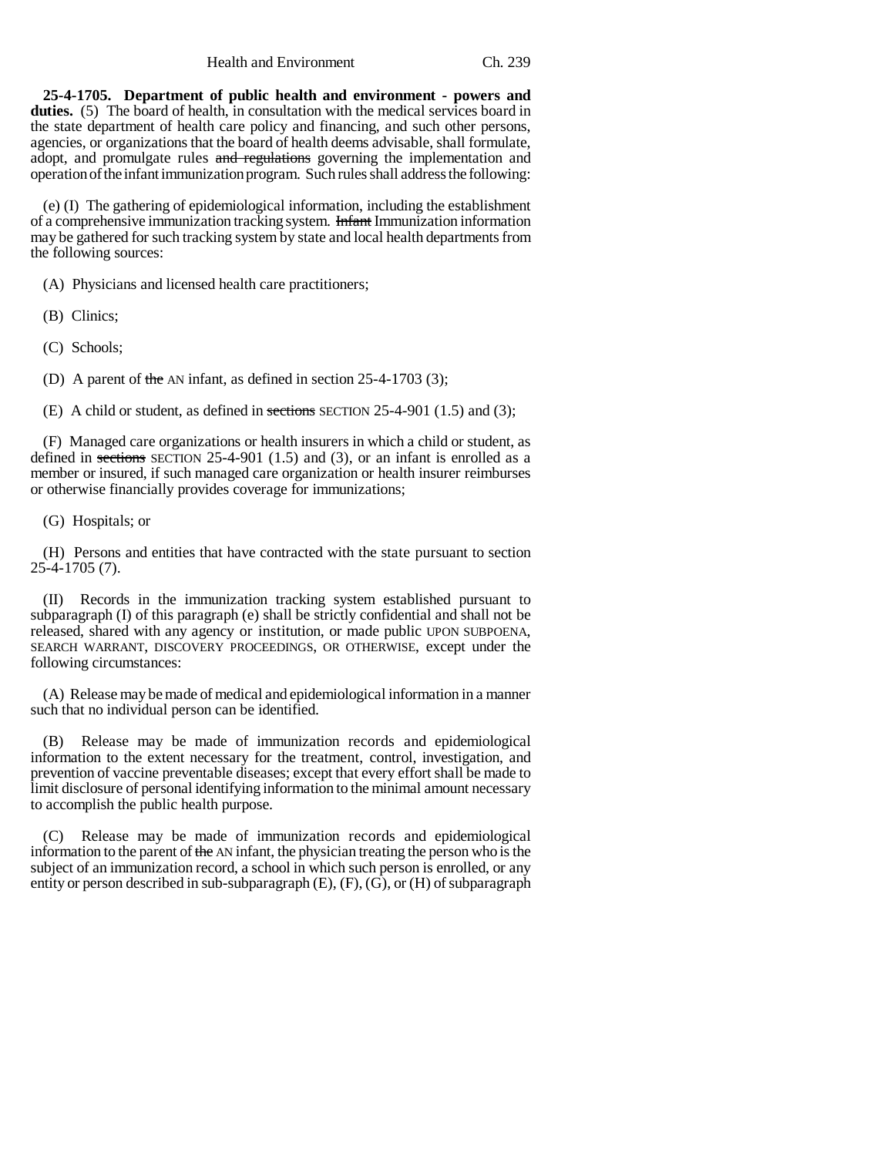Health and Environment Ch. 239

**25-4-1705. Department of public health and environment - powers and duties.** (5) The board of health, in consultation with the medical services board in the state department of health care policy and financing, and such other persons, agencies, or organizations that the board of health deems advisable, shall formulate, adopt, and promulgate rules and regulations governing the implementation and operation of the infant immunization program. Such rules shall address the following:

(e) (I) The gathering of epidemiological information, including the establishment of a comprehensive immunization tracking system. Infant Immunization information may be gathered for such tracking system by state and local health departments from the following sources:

(A) Physicians and licensed health care practitioners;

(B) Clinics;

(C) Schools;

(D) A parent of the AN infant, as defined in section 25-4-1703 (3);

(E) A child or student, as defined in sections SECTION 25-4-901 (1.5) and (3);

(F) Managed care organizations or health insurers in which a child or student, as defined in sections SECTION 25-4-901 (1.5) and (3), or an infant is enrolled as a member or insured, if such managed care organization or health insurer reimburses or otherwise financially provides coverage for immunizations;

(G) Hospitals; or

(H) Persons and entities that have contracted with the state pursuant to section 25-4-1705 (7).

(II) Records in the immunization tracking system established pursuant to subparagraph (I) of this paragraph (e) shall be strictly confidential and shall not be released, shared with any agency or institution, or made public UPON SUBPOENA, SEARCH WARRANT, DISCOVERY PROCEEDINGS, OR OTHERWISE, except under the following circumstances:

(A) Release may be made of medical and epidemiological information in a manner such that no individual person can be identified.

(B) Release may be made of immunization records and epidemiological information to the extent necessary for the treatment, control, investigation, and prevention of vaccine preventable diseases; except that every effort shall be made to limit disclosure of personal identifying information to the minimal amount necessary to accomplish the public health purpose.

(C) Release may be made of immunization records and epidemiological information to the parent of the AN infant, the physician treating the person who is the subject of an immunization record, a school in which such person is enrolled, or any entity or person described in sub-subparagraph (E), (F), (G), or (H) of subparagraph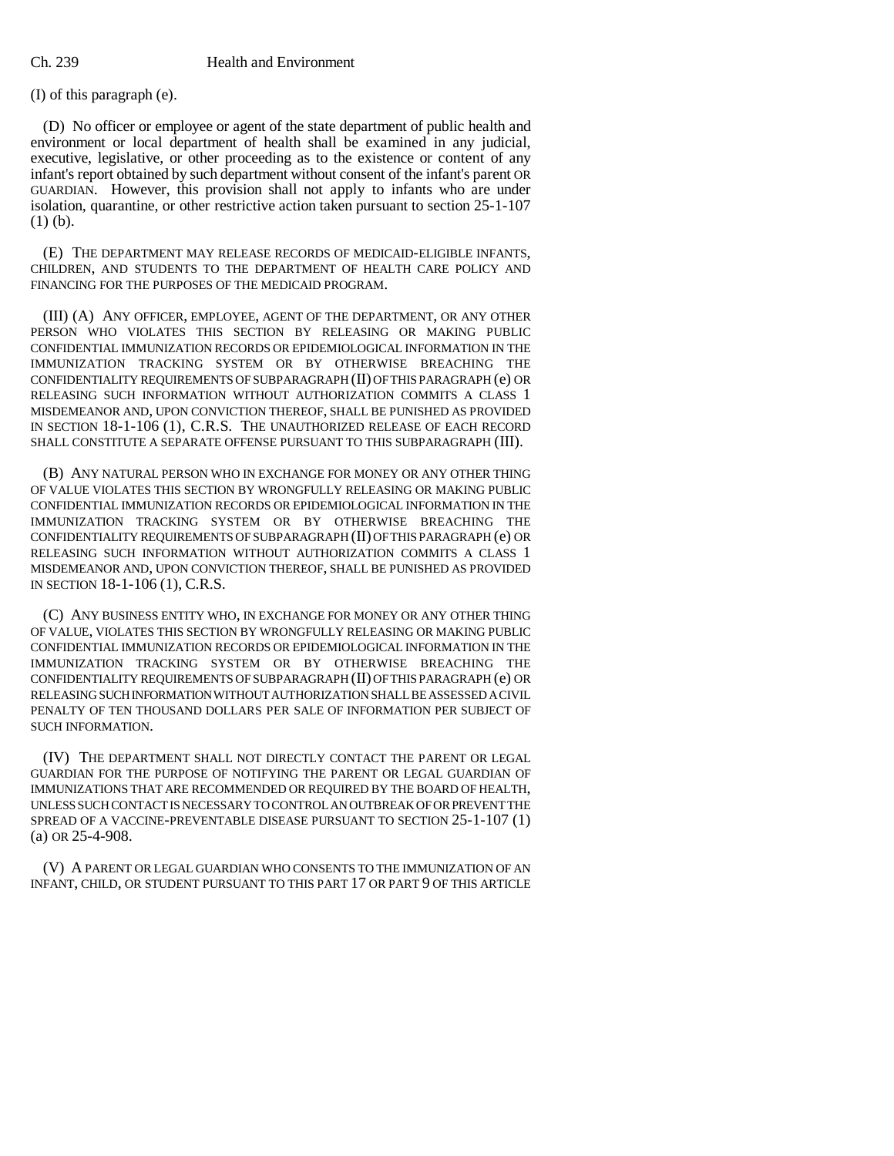(I) of this paragraph (e).

(D) No officer or employee or agent of the state department of public health and environment or local department of health shall be examined in any judicial, executive, legislative, or other proceeding as to the existence or content of any infant's report obtained by such department without consent of the infant's parent OR GUARDIAN. However, this provision shall not apply to infants who are under isolation, quarantine, or other restrictive action taken pursuant to section 25-1-107 (1) (b).

(E) THE DEPARTMENT MAY RELEASE RECORDS OF MEDICAID-ELIGIBLE INFANTS, CHILDREN, AND STUDENTS TO THE DEPARTMENT OF HEALTH CARE POLICY AND FINANCING FOR THE PURPOSES OF THE MEDICAID PROGRAM.

(III) (A) ANY OFFICER, EMPLOYEE, AGENT OF THE DEPARTMENT, OR ANY OTHER PERSON WHO VIOLATES THIS SECTION BY RELEASING OR MAKING PUBLIC CONFIDENTIAL IMMUNIZATION RECORDS OR EPIDEMIOLOGICAL INFORMATION IN THE IMMUNIZATION TRACKING SYSTEM OR BY OTHERWISE BREACHING THE CONFIDENTIALITY REQUIREMENTS OF SUBPARAGRAPH (II) OF THIS PARAGRAPH (e) OR RELEASING SUCH INFORMATION WITHOUT AUTHORIZATION COMMITS A CLASS 1 MISDEMEANOR AND, UPON CONVICTION THEREOF, SHALL BE PUNISHED AS PROVIDED IN SECTION 18-1-106 (1), C.R.S. THE UNAUTHORIZED RELEASE OF EACH RECORD SHALL CONSTITUTE A SEPARATE OFFENSE PURSUANT TO THIS SUBPARAGRAPH (III).

(B) ANY NATURAL PERSON WHO IN EXCHANGE FOR MONEY OR ANY OTHER THING OF VALUE VIOLATES THIS SECTION BY WRONGFULLY RELEASING OR MAKING PUBLIC CONFIDENTIAL IMMUNIZATION RECORDS OR EPIDEMIOLOGICAL INFORMATION IN THE IMMUNIZATION TRACKING SYSTEM OR BY OTHERWISE BREACHING THE CONFIDENTIALITY REQUIREMENTS OF SUBPARAGRAPH (II) OF THIS PARAGRAPH (e) OR RELEASING SUCH INFORMATION WITHOUT AUTHORIZATION COMMITS A CLASS 1 MISDEMEANOR AND, UPON CONVICTION THEREOF, SHALL BE PUNISHED AS PROVIDED IN SECTION 18-1-106 (1), C.R.S.

(C) ANY BUSINESS ENTITY WHO, IN EXCHANGE FOR MONEY OR ANY OTHER THING OF VALUE, VIOLATES THIS SECTION BY WRONGFULLY RELEASING OR MAKING PUBLIC CONFIDENTIAL IMMUNIZATION RECORDS OR EPIDEMIOLOGICAL INFORMATION IN THE IMMUNIZATION TRACKING SYSTEM OR BY OTHERWISE BREACHING THE CONFIDENTIALITY REQUIREMENTS OF SUBPARAGRAPH (II) OF THIS PARAGRAPH (e) OR RELEASING SUCH INFORMATION WITHOUT AUTHORIZATION SHALL BE ASSESSED A CIVIL PENALTY OF TEN THOUSAND DOLLARS PER SALE OF INFORMATION PER SUBJECT OF SUCH INFORMATION.

(IV) THE DEPARTMENT SHALL NOT DIRECTLY CONTACT THE PARENT OR LEGAL GUARDIAN FOR THE PURPOSE OF NOTIFYING THE PARENT OR LEGAL GUARDIAN OF IMMUNIZATIONS THAT ARE RECOMMENDED OR REQUIRED BY THE BOARD OF HEALTH, UNLESS SUCH CONTACT IS NECESSARY TO CONTROL AN OUTBREAK OF OR PREVENT THE SPREAD OF A VACCINE-PREVENTABLE DISEASE PURSUANT TO SECTION 25-1-107 (1) (a) OR 25-4-908.

(V) A PARENT OR LEGAL GUARDIAN WHO CONSENTS TO THE IMMUNIZATION OF AN INFANT, CHILD, OR STUDENT PURSUANT TO THIS PART 17 OR PART 9 OF THIS ARTICLE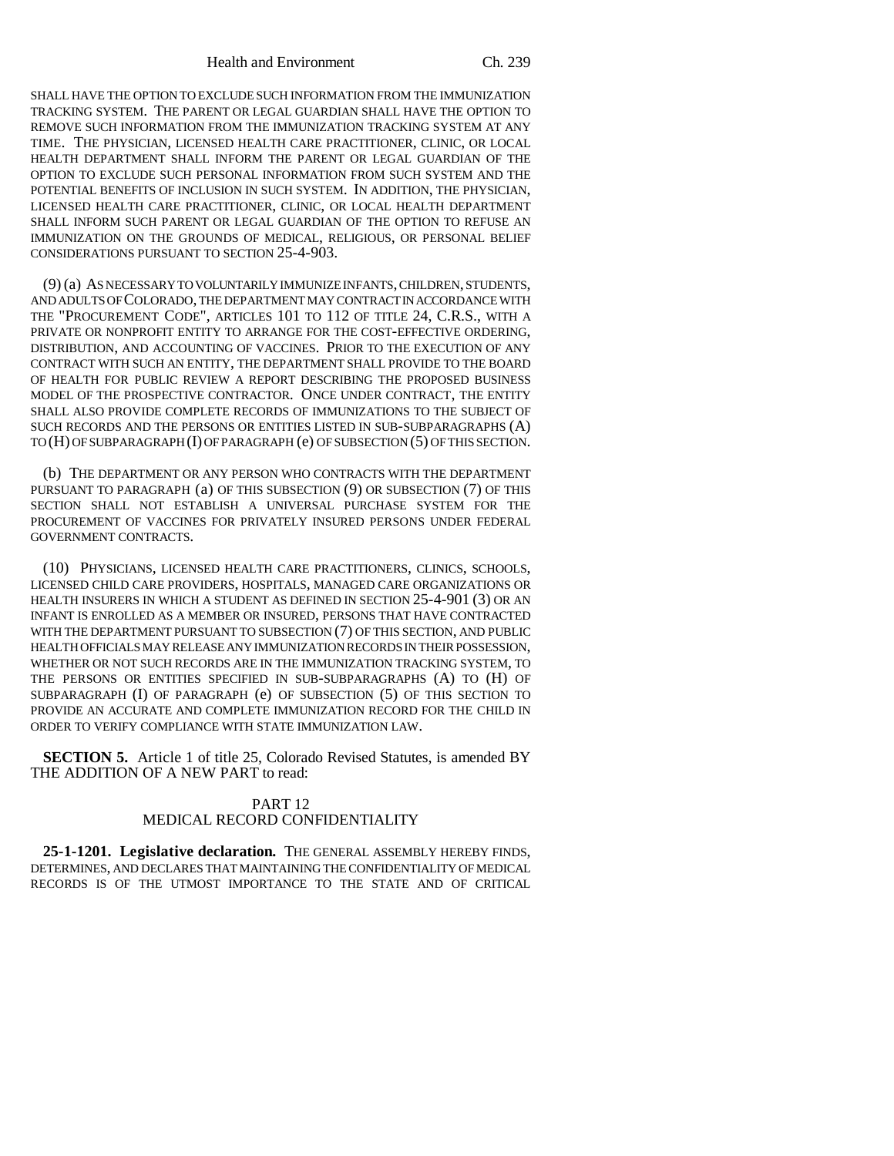SHALL HAVE THE OPTION TO EXCLUDE SUCH INFORMATION FROM THE IMMUNIZATION TRACKING SYSTEM. THE PARENT OR LEGAL GUARDIAN SHALL HAVE THE OPTION TO REMOVE SUCH INFORMATION FROM THE IMMUNIZATION TRACKING SYSTEM AT ANY TIME. THE PHYSICIAN, LICENSED HEALTH CARE PRACTITIONER, CLINIC, OR LOCAL HEALTH DEPARTMENT SHALL INFORM THE PARENT OR LEGAL GUARDIAN OF THE OPTION TO EXCLUDE SUCH PERSONAL INFORMATION FROM SUCH SYSTEM AND THE POTENTIAL BENEFITS OF INCLUSION IN SUCH SYSTEM. IN ADDITION, THE PHYSICIAN, LICENSED HEALTH CARE PRACTITIONER, CLINIC, OR LOCAL HEALTH DEPARTMENT SHALL INFORM SUCH PARENT OR LEGAL GUARDIAN OF THE OPTION TO REFUSE AN IMMUNIZATION ON THE GROUNDS OF MEDICAL, RELIGIOUS, OR PERSONAL BELIEF CONSIDERATIONS PURSUANT TO SECTION 25-4-903.

(9) (a) AS NECESSARY TO VOLUNTARILY IMMUNIZE INFANTS, CHILDREN, STUDENTS, AND ADULTS OF COLORADO, THE DEPARTMENT MAY CONTRACT IN ACCORDANCE WITH THE "PROCUREMENT CODE", ARTICLES 101 TO 112 OF TITLE 24, C.R.S., WITH A PRIVATE OR NONPROFIT ENTITY TO ARRANGE FOR THE COST-EFFECTIVE ORDERING, DISTRIBUTION, AND ACCOUNTING OF VACCINES. PRIOR TO THE EXECUTION OF ANY CONTRACT WITH SUCH AN ENTITY, THE DEPARTMENT SHALL PROVIDE TO THE BOARD OF HEALTH FOR PUBLIC REVIEW A REPORT DESCRIBING THE PROPOSED BUSINESS MODEL OF THE PROSPECTIVE CONTRACTOR. ONCE UNDER CONTRACT, THE ENTITY SHALL ALSO PROVIDE COMPLETE RECORDS OF IMMUNIZATIONS TO THE SUBJECT OF SUCH RECORDS AND THE PERSONS OR ENTITIES LISTED IN SUB-SUBPARAGRAPHS (A) TO (H) OF SUBPARAGRAPH (I) OF PARAGRAPH (e) OF SUBSECTION (5) OF THIS SECTION.

(b) THE DEPARTMENT OR ANY PERSON WHO CONTRACTS WITH THE DEPARTMENT PURSUANT TO PARAGRAPH (a) OF THIS SUBSECTION (9) OR SUBSECTION (7) OF THIS SECTION SHALL NOT ESTABLISH A UNIVERSAL PURCHASE SYSTEM FOR THE PROCUREMENT OF VACCINES FOR PRIVATELY INSURED PERSONS UNDER FEDERAL GOVERNMENT CONTRACTS.

(10) PHYSICIANS, LICENSED HEALTH CARE PRACTITIONERS, CLINICS, SCHOOLS, LICENSED CHILD CARE PROVIDERS, HOSPITALS, MANAGED CARE ORGANIZATIONS OR HEALTH INSURERS IN WHICH A STUDENT AS DEFINED IN SECTION 25-4-901 (3) OR AN INFANT IS ENROLLED AS A MEMBER OR INSURED, PERSONS THAT HAVE CONTRACTED WITH THE DEPARTMENT PURSUANT TO SUBSECTION (7) OF THIS SECTION, AND PUBLIC HEALTH OFFICIALS MAY RELEASE ANY IMMUNIZATION RECORDS IN THEIR POSSESSION, WHETHER OR NOT SUCH RECORDS ARE IN THE IMMUNIZATION TRACKING SYSTEM, TO THE PERSONS OR ENTITIES SPECIFIED IN SUB-SUBPARAGRAPHS (A) TO (H) OF SUBPARAGRAPH (I) OF PARAGRAPH (e) OF SUBSECTION (5) OF THIS SECTION TO PROVIDE AN ACCURATE AND COMPLETE IMMUNIZATION RECORD FOR THE CHILD IN ORDER TO VERIFY COMPLIANCE WITH STATE IMMUNIZATION LAW.

**SECTION 5.** Article 1 of title 25, Colorado Revised Statutes, is amended BY THE ADDITION OF A NEW PART to read:

# PART 12 MEDICAL RECORD CONFIDENTIALITY

**25-1-1201. Legislative declaration.** THE GENERAL ASSEMBLY HEREBY FINDS, DETERMINES, AND DECLARES THAT MAINTAINING THE CONFIDENTIALITY OF MEDICAL RECORDS IS OF THE UTMOST IMPORTANCE TO THE STATE AND OF CRITICAL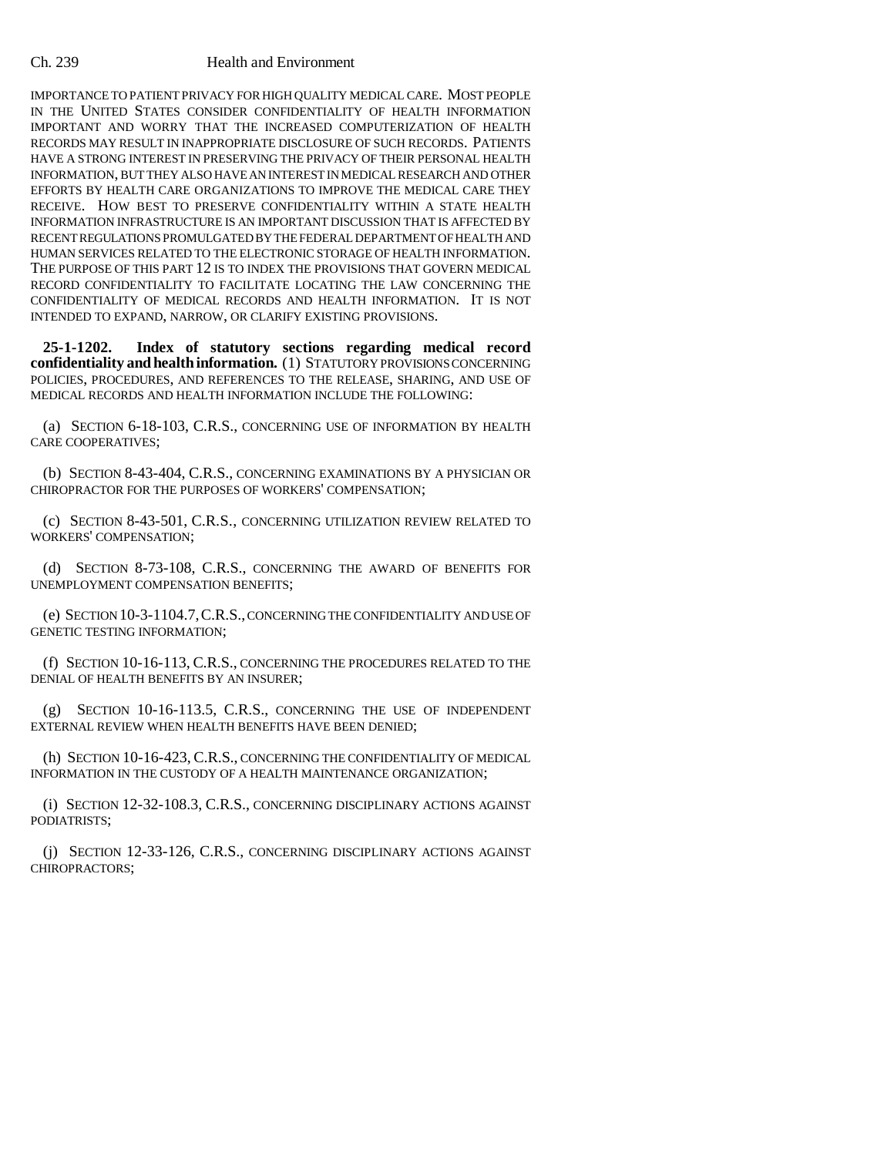### Ch. 239 Health and Environment

IMPORTANCE TO PATIENT PRIVACY FOR HIGH QUALITY MEDICAL CARE. MOST PEOPLE IN THE UNITED STATES CONSIDER CONFIDENTIALITY OF HEALTH INFORMATION IMPORTANT AND WORRY THAT THE INCREASED COMPUTERIZATION OF HEALTH RECORDS MAY RESULT IN INAPPROPRIATE DISCLOSURE OF SUCH RECORDS. PATIENTS HAVE A STRONG INTEREST IN PRESERVING THE PRIVACY OF THEIR PERSONAL HEALTH INFORMATION, BUT THEY ALSO HAVE AN INTEREST IN MEDICAL RESEARCH AND OTHER EFFORTS BY HEALTH CARE ORGANIZATIONS TO IMPROVE THE MEDICAL CARE THEY RECEIVE. HOW BEST TO PRESERVE CONFIDENTIALITY WITHIN A STATE HEALTH INFORMATION INFRASTRUCTURE IS AN IMPORTANT DISCUSSION THAT IS AFFECTED BY RECENT REGULATIONS PROMULGATED BY THE FEDERAL DEPARTMENT OF HEALTH AND HUMAN SERVICES RELATED TO THE ELECTRONIC STORAGE OF HEALTH INFORMATION. THE PURPOSE OF THIS PART 12 IS TO INDEX THE PROVISIONS THAT GOVERN MEDICAL RECORD CONFIDENTIALITY TO FACILITATE LOCATING THE LAW CONCERNING THE CONFIDENTIALITY OF MEDICAL RECORDS AND HEALTH INFORMATION. IT IS NOT INTENDED TO EXPAND, NARROW, OR CLARIFY EXISTING PROVISIONS.

**25-1-1202. Index of statutory sections regarding medical record confidentiality and health information.** (1) STATUTORY PROVISIONS CONCERNING POLICIES, PROCEDURES, AND REFERENCES TO THE RELEASE, SHARING, AND USE OF MEDICAL RECORDS AND HEALTH INFORMATION INCLUDE THE FOLLOWING:

(a) SECTION 6-18-103, C.R.S., CONCERNING USE OF INFORMATION BY HEALTH CARE COOPERATIVES;

(b) SECTION 8-43-404, C.R.S., CONCERNING EXAMINATIONS BY A PHYSICIAN OR CHIROPRACTOR FOR THE PURPOSES OF WORKERS' COMPENSATION;

(c) SECTION 8-43-501, C.R.S., CONCERNING UTILIZATION REVIEW RELATED TO WORKERS' COMPENSATION;

(d) SECTION 8-73-108, C.R.S., CONCERNING THE AWARD OF BENEFITS FOR UNEMPLOYMENT COMPENSATION BENEFITS;

(e) SECTION 10-3-1104.7,C.R.S., CONCERNING THE CONFIDENTIALITY AND USE OF GENETIC TESTING INFORMATION;

(f) SECTION 10-16-113, C.R.S., CONCERNING THE PROCEDURES RELATED TO THE DENIAL OF HEALTH BENEFITS BY AN INSURER;

(g) SECTION 10-16-113.5, C.R.S., CONCERNING THE USE OF INDEPENDENT EXTERNAL REVIEW WHEN HEALTH BENEFITS HAVE BEEN DENIED;

(h) SECTION 10-16-423, C.R.S., CONCERNING THE CONFIDENTIALITY OF MEDICAL INFORMATION IN THE CUSTODY OF A HEALTH MAINTENANCE ORGANIZATION;

(i) SECTION 12-32-108.3, C.R.S., CONCERNING DISCIPLINARY ACTIONS AGAINST PODIATRISTS;

(j) SECTION 12-33-126, C.R.S., CONCERNING DISCIPLINARY ACTIONS AGAINST CHIROPRACTORS;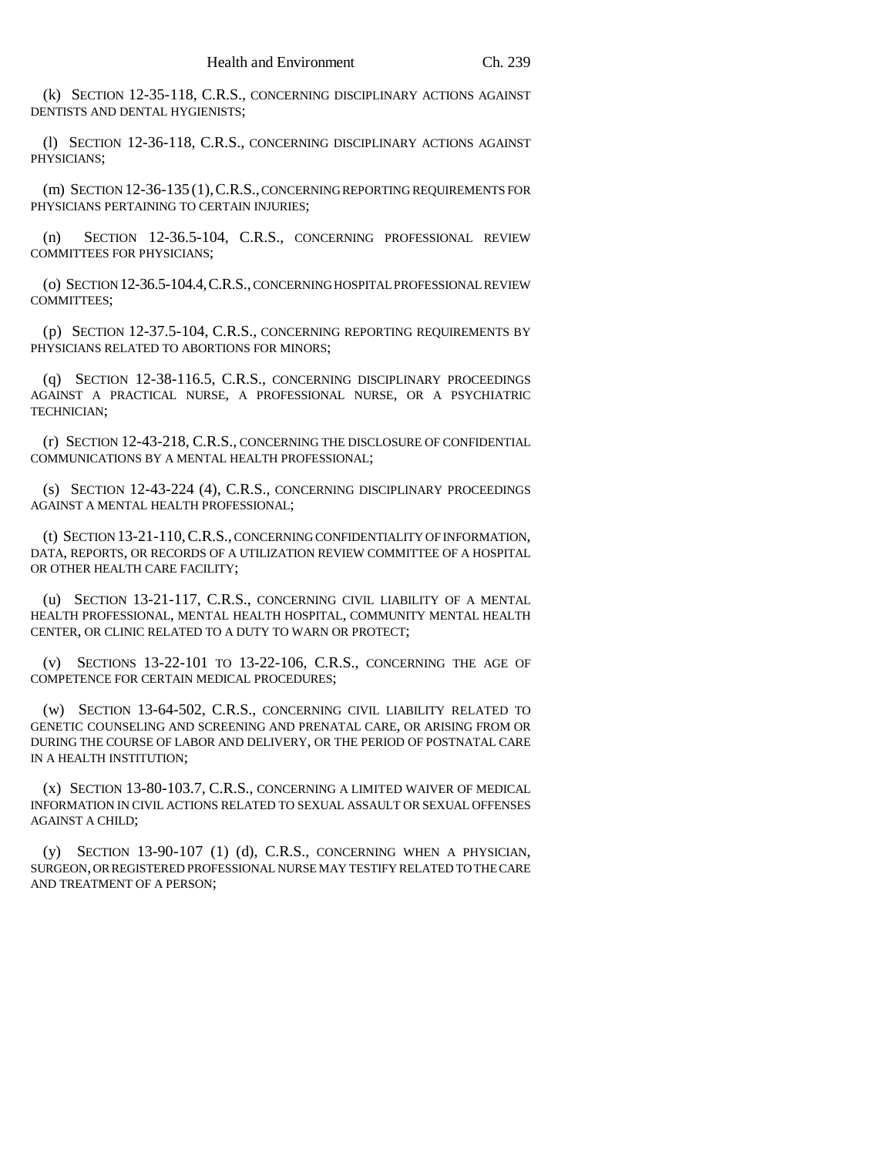(k) SECTION 12-35-118, C.R.S., CONCERNING DISCIPLINARY ACTIONS AGAINST DENTISTS AND DENTAL HYGIENISTS;

(l) SECTION 12-36-118, C.R.S., CONCERNING DISCIPLINARY ACTIONS AGAINST PHYSICIANS;

(m) SECTION 12-36-135 (1),C.R.S., CONCERNING REPORTING REQUIREMENTS FOR PHYSICIANS PERTAINING TO CERTAIN INJURIES;

(n) SECTION 12-36.5-104, C.R.S., CONCERNING PROFESSIONAL REVIEW COMMITTEES FOR PHYSICIANS;

(o) SECTION 12-36.5-104.4,C.R.S., CONCERNING HOSPITAL PROFESSIONAL REVIEW COMMITTEES;

(p) SECTION 12-37.5-104, C.R.S., CONCERNING REPORTING REQUIREMENTS BY PHYSICIANS RELATED TO ABORTIONS FOR MINORS;

(q) SECTION 12-38-116.5, C.R.S., CONCERNING DISCIPLINARY PROCEEDINGS AGAINST A PRACTICAL NURSE, A PROFESSIONAL NURSE, OR A PSYCHIATRIC TECHNICIAN;

(r) SECTION 12-43-218, C.R.S., CONCERNING THE DISCLOSURE OF CONFIDENTIAL COMMUNICATIONS BY A MENTAL HEALTH PROFESSIONAL;

(s) SECTION 12-43-224 (4), C.R.S., CONCERNING DISCIPLINARY PROCEEDINGS AGAINST A MENTAL HEALTH PROFESSIONAL;

(t) SECTION 13-21-110,C.R.S., CONCERNING CONFIDENTIALITY OF INFORMATION, DATA, REPORTS, OR RECORDS OF A UTILIZATION REVIEW COMMITTEE OF A HOSPITAL OR OTHER HEALTH CARE FACILITY;

(u) SECTION 13-21-117, C.R.S., CONCERNING CIVIL LIABILITY OF A MENTAL HEALTH PROFESSIONAL, MENTAL HEALTH HOSPITAL, COMMUNITY MENTAL HEALTH CENTER, OR CLINIC RELATED TO A DUTY TO WARN OR PROTECT;

(v) SECTIONS 13-22-101 TO 13-22-106, C.R.S., CONCERNING THE AGE OF COMPETENCE FOR CERTAIN MEDICAL PROCEDURES;

(w) SECTION 13-64-502, C.R.S., CONCERNING CIVIL LIABILITY RELATED TO GENETIC COUNSELING AND SCREENING AND PRENATAL CARE, OR ARISING FROM OR DURING THE COURSE OF LABOR AND DELIVERY, OR THE PERIOD OF POSTNATAL CARE IN A HEALTH INSTITUTION;

(x) SECTION 13-80-103.7, C.R.S., CONCERNING A LIMITED WAIVER OF MEDICAL INFORMATION IN CIVIL ACTIONS RELATED TO SEXUAL ASSAULT OR SEXUAL OFFENSES AGAINST A CHILD;

(y) SECTION 13-90-107 (1) (d), C.R.S., CONCERNING WHEN A PHYSICIAN, SURGEON, OR REGISTERED PROFESSIONAL NURSE MAY TESTIFY RELATED TO THE CARE AND TREATMENT OF A PERSON;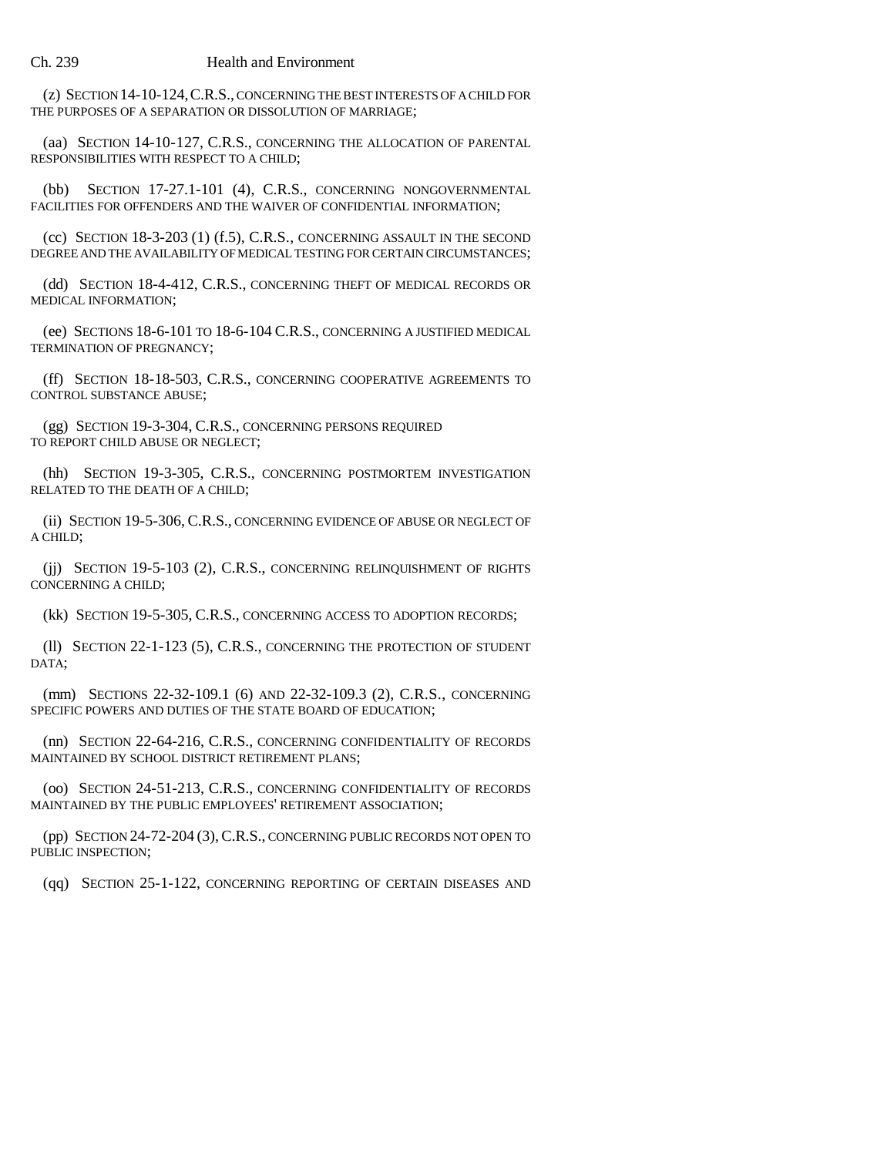#### Ch. 239 Health and Environment

(z) SECTION 14-10-124,C.R.S., CONCERNING THE BEST INTERESTS OF A CHILD FOR THE PURPOSES OF A SEPARATION OR DISSOLUTION OF MARRIAGE;

(aa) SECTION 14-10-127, C.R.S., CONCERNING THE ALLOCATION OF PARENTAL RESPONSIBILITIES WITH RESPECT TO A CHILD;

(bb) SECTION 17-27.1-101 (4), C.R.S., CONCERNING NONGOVERNMENTAL FACILITIES FOR OFFENDERS AND THE WAIVER OF CONFIDENTIAL INFORMATION;

(cc) SECTION 18-3-203 (1) (f.5), C.R.S., CONCERNING ASSAULT IN THE SECOND DEGREE AND THE AVAILABILITY OF MEDICAL TESTING FOR CERTAIN CIRCUMSTANCES;

(dd) SECTION 18-4-412, C.R.S., CONCERNING THEFT OF MEDICAL RECORDS OR MEDICAL INFORMATION;

(ee) SECTIONS 18-6-101 TO 18-6-104 C.R.S., CONCERNING A JUSTIFIED MEDICAL TERMINATION OF PREGNANCY;

(ff) SECTION 18-18-503, C.R.S., CONCERNING COOPERATIVE AGREEMENTS TO CONTROL SUBSTANCE ABUSE;

(gg) SECTION 19-3-304, C.R.S., CONCERNING PERSONS REQUIRED TO REPORT CHILD ABUSE OR NEGLECT;

(hh) SECTION 19-3-305, C.R.S., CONCERNING POSTMORTEM INVESTIGATION RELATED TO THE DEATH OF A CHILD;

(ii) SECTION 19-5-306, C.R.S., CONCERNING EVIDENCE OF ABUSE OR NEGLECT OF A CHILD;

(jj) SECTION 19-5-103 (2), C.R.S., CONCERNING RELINQUISHMENT OF RIGHTS CONCERNING A CHILD;

(kk) SECTION 19-5-305, C.R.S., CONCERNING ACCESS TO ADOPTION RECORDS;

(ll) SECTION 22-1-123 (5), C.R.S., CONCERNING THE PROTECTION OF STUDENT DATA;

(mm) SECTIONS 22-32-109.1 (6) AND 22-32-109.3 (2), C.R.S., CONCERNING SPECIFIC POWERS AND DUTIES OF THE STATE BOARD OF EDUCATION;

(nn) SECTION 22-64-216, C.R.S., CONCERNING CONFIDENTIALITY OF RECORDS MAINTAINED BY SCHOOL DISTRICT RETIREMENT PLANS;

(oo) SECTION 24-51-213, C.R.S., CONCERNING CONFIDENTIALITY OF RECORDS MAINTAINED BY THE PUBLIC EMPLOYEES' RETIREMENT ASSOCIATION;

(pp) SECTION 24-72-204 (3),C.R.S., CONCERNING PUBLIC RECORDS NOT OPEN TO PUBLIC INSPECTION;

(qq) SECTION 25-1-122, CONCERNING REPORTING OF CERTAIN DISEASES AND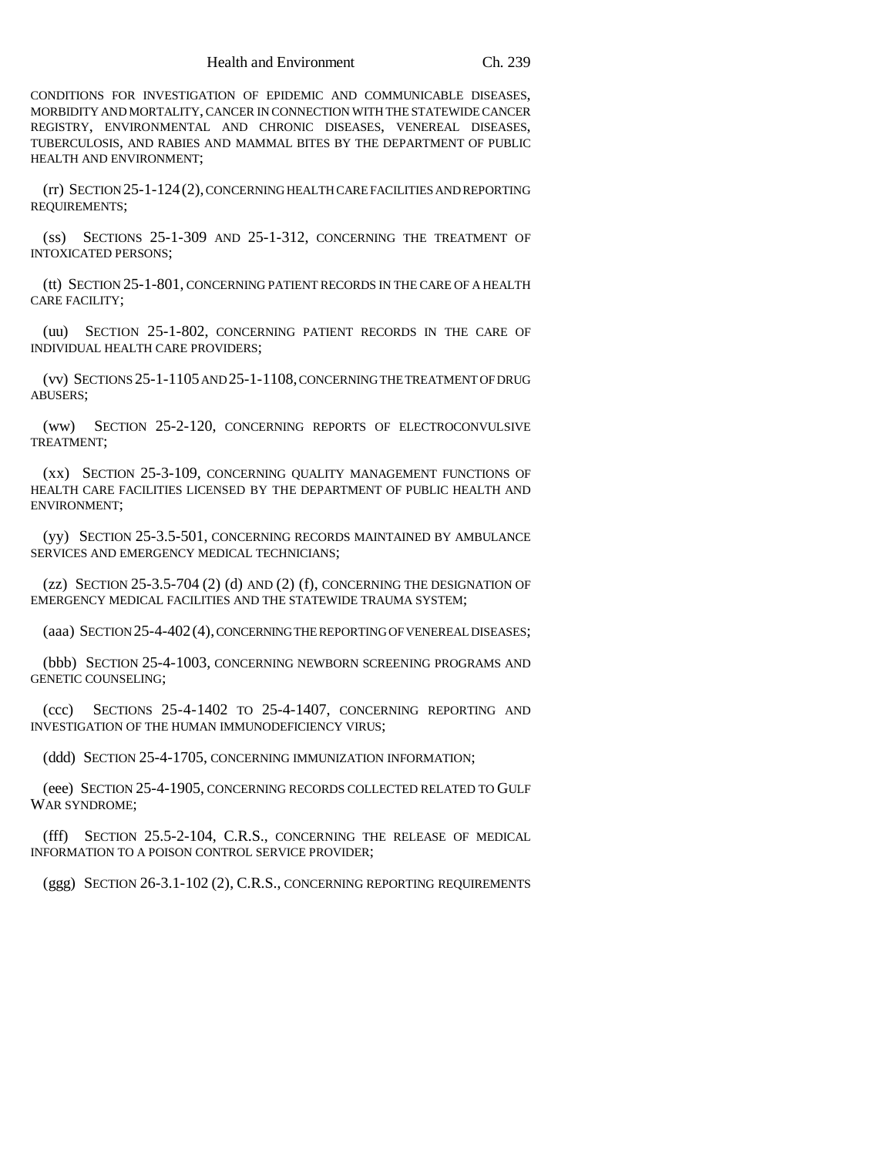CONDITIONS FOR INVESTIGATION OF EPIDEMIC AND COMMUNICABLE DISEASES, MORBIDITY AND MORTALITY, CANCER IN CONNECTION WITH THE STATEWIDE CANCER REGISTRY, ENVIRONMENTAL AND CHRONIC DISEASES, VENEREAL DISEASES, TUBERCULOSIS, AND RABIES AND MAMMAL BITES BY THE DEPARTMENT OF PUBLIC HEALTH AND ENVIRONMENT;

(rr) SECTION 25-1-124(2), CONCERNING HEALTH CARE FACILITIES AND REPORTING REQUIREMENTS;

(ss) SECTIONS 25-1-309 AND 25-1-312, CONCERNING THE TREATMENT OF INTOXICATED PERSONS;

(tt) SECTION 25-1-801, CONCERNING PATIENT RECORDS IN THE CARE OF A HEALTH CARE FACILITY;

(uu) SECTION 25-1-802, CONCERNING PATIENT RECORDS IN THE CARE OF INDIVIDUAL HEALTH CARE PROVIDERS;

(vv) SECTIONS 25-1-1105 AND 25-1-1108, CONCERNING THE TREATMENT OF DRUG ABUSERS;

(ww) SECTION 25-2-120, CONCERNING REPORTS OF ELECTROCONVULSIVE TREATMENT;

(xx) SECTION 25-3-109, CONCERNING QUALITY MANAGEMENT FUNCTIONS OF HEALTH CARE FACILITIES LICENSED BY THE DEPARTMENT OF PUBLIC HEALTH AND ENVIRONMENT;

(yy) SECTION 25-3.5-501, CONCERNING RECORDS MAINTAINED BY AMBULANCE SERVICES AND EMERGENCY MEDICAL TECHNICIANS;

(zz) SECTION 25-3.5-704 (2) (d) AND (2) (f), CONCERNING THE DESIGNATION OF EMERGENCY MEDICAL FACILITIES AND THE STATEWIDE TRAUMA SYSTEM;

(aaa) SECTION 25-4-402(4), CONCERNING THE REPORTING OF VENEREAL DISEASES;

(bbb) SECTION 25-4-1003, CONCERNING NEWBORN SCREENING PROGRAMS AND GENETIC COUNSELING;

(ccc) SECTIONS 25-4-1402 TO 25-4-1407, CONCERNING REPORTING AND INVESTIGATION OF THE HUMAN IMMUNODEFICIENCY VIRUS;

(ddd) SECTION 25-4-1705, CONCERNING IMMUNIZATION INFORMATION;

(eee) SECTION 25-4-1905, CONCERNING RECORDS COLLECTED RELATED TO GULF WAR SYNDROME;

(fff) SECTION 25.5-2-104, C.R.S., CONCERNING THE RELEASE OF MEDICAL INFORMATION TO A POISON CONTROL SERVICE PROVIDER;

(ggg) SECTION 26-3.1-102 (2), C.R.S., CONCERNING REPORTING REQUIREMENTS